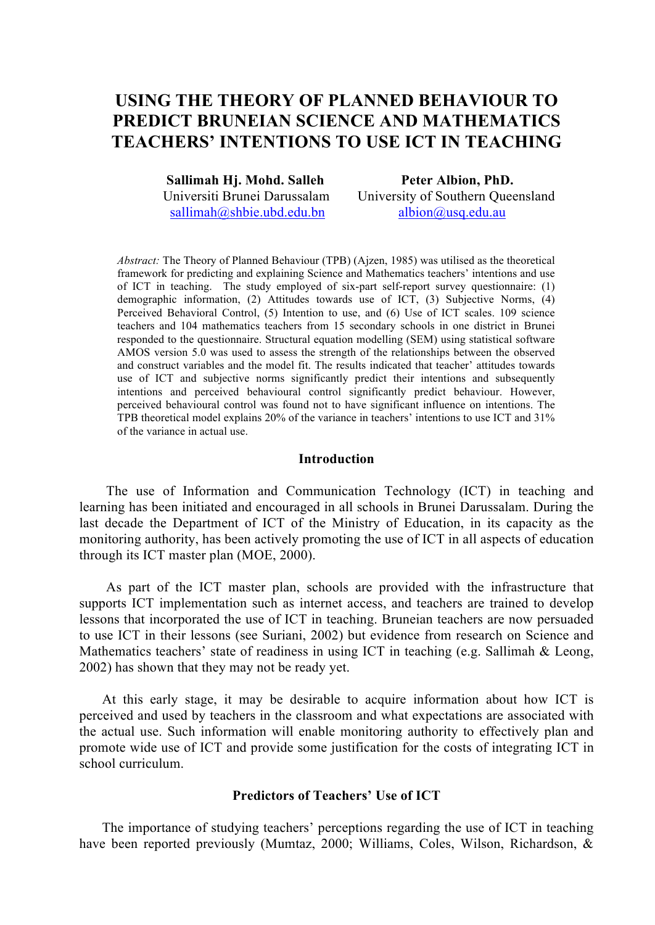# **USING THE THEORY OF PLANNED BEHAVIOUR TO PREDICT BRUNEIAN SCIENCE AND MATHEMATICS TEACHERS' INTENTIONS TO USE ICT IN TEACHING**

 **Sallimah Hj. Mohd. Salleh Peter Albion, PhD.**

 Universiti Brunei Darussalam University of Southern Queensland sallimah@shbie.ubd.edu.bn albion@usq.edu.au

*Abstract:* The Theory of Planned Behaviour (TPB) (Ajzen, 1985) was utilised as the theoretical framework for predicting and explaining Science and Mathematics teachers' intentions and use of ICT in teaching. The study employed of six-part self-report survey questionnaire: (1) demographic information, (2) Attitudes towards use of ICT, (3) Subjective Norms, (4) Perceived Behavioral Control, (5) Intention to use, and (6) Use of ICT scales. 109 science teachers and 104 mathematics teachers from 15 secondary schools in one district in Brunei responded to the questionnaire. Structural equation modelling (SEM) using statistical software AMOS version 5.0 was used to assess the strength of the relationships between the observed and construct variables and the model fit. The results indicated that teacher' attitudes towards use of ICT and subjective norms significantly predict their intentions and subsequently intentions and perceived behavioural control significantly predict behaviour. However, perceived behavioural control was found not to have significant influence on intentions. The TPB theoretical model explains 20% of the variance in teachers' intentions to use ICT and 31% of the variance in actual use.

# **Introduction**

The use of Information and Communication Technology (ICT) in teaching and learning has been initiated and encouraged in all schools in Brunei Darussalam. During the last decade the Department of ICT of the Ministry of Education, in its capacity as the monitoring authority, has been actively promoting the use of ICT in all aspects of education through its ICT master plan (MOE, 2000).

As part of the ICT master plan, schools are provided with the infrastructure that supports ICT implementation such as internet access, and teachers are trained to develop lessons that incorporated the use of ICT in teaching. Bruneian teachers are now persuaded to use ICT in their lessons (see Suriani, 2002) but evidence from research on Science and Mathematics teachers' state of readiness in using ICT in teaching (e.g. Sallimah  $&$  Leong, 2002) has shown that they may not be ready yet.

At this early stage, it may be desirable to acquire information about how ICT is perceived and used by teachers in the classroom and what expectations are associated with the actual use. Such information will enable monitoring authority to effectively plan and promote wide use of ICT and provide some justification for the costs of integrating ICT in school curriculum.

# **Predictors of Teachers' Use of ICT**

The importance of studying teachers' perceptions regarding the use of ICT in teaching have been reported previously (Mumtaz, 2000; Williams, Coles, Wilson, Richardson, &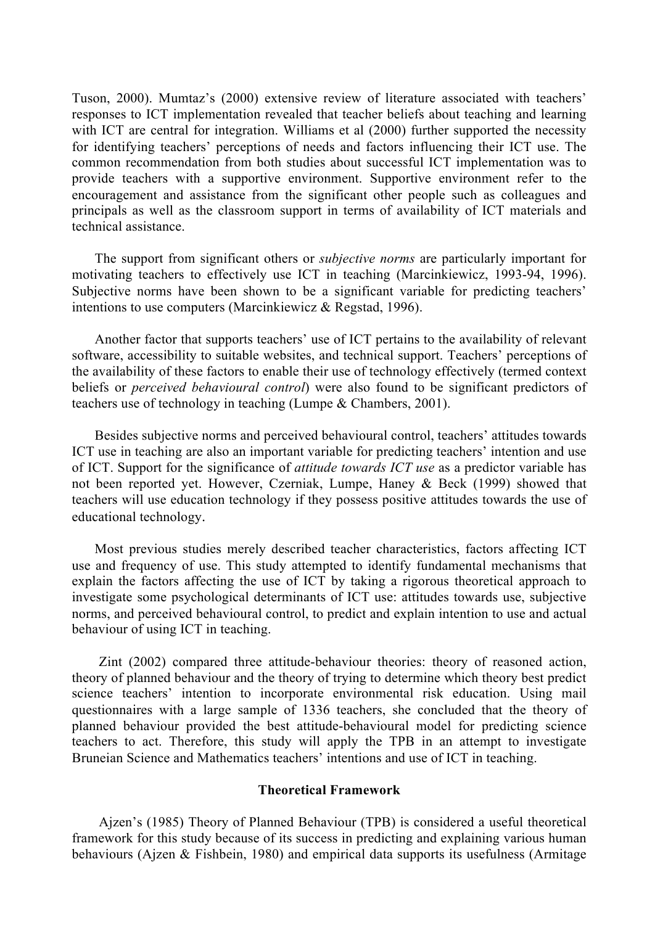Tuson, 2000). Mumtaz's (2000) extensive review of literature associated with teachers' responses to ICT implementation revealed that teacher beliefs about teaching and learning with ICT are central for integration. Williams et al (2000) further supported the necessity for identifying teachers' perceptions of needs and factors influencing their ICT use. The common recommendation from both studies about successful ICT implementation was to provide teachers with a supportive environment. Supportive environment refer to the encouragement and assistance from the significant other people such as colleagues and principals as well as the classroom support in terms of availability of ICT materials and technical assistance.

The support from significant others or *subjective norms* are particularly important for motivating teachers to effectively use ICT in teaching (Marcinkiewicz, 1993-94, 1996). Subjective norms have been shown to be a significant variable for predicting teachers' intentions to use computers (Marcinkiewicz & Regstad, 1996).

Another factor that supports teachers' use of ICT pertains to the availability of relevant software, accessibility to suitable websites, and technical support. Teachers' perceptions of the availability of these factors to enable their use of technology effectively (termed context beliefs or *perceived behavioural control*) were also found to be significant predictors of teachers use of technology in teaching (Lumpe & Chambers, 2001).

Besides subjective norms and perceived behavioural control, teachers' attitudes towards ICT use in teaching are also an important variable for predicting teachers' intention and use of ICT. Support for the significance of *attitude towards ICT use* as a predictor variable has not been reported yet. However, Czerniak, Lumpe, Haney & Beck (1999) showed that teachers will use education technology if they possess positive attitudes towards the use of educational technology.

Most previous studies merely described teacher characteristics, factors affecting ICT use and frequency of use. This study attempted to identify fundamental mechanisms that explain the factors affecting the use of ICT by taking a rigorous theoretical approach to investigate some psychological determinants of ICT use: attitudes towards use, subjective norms, and perceived behavioural control, to predict and explain intention to use and actual behaviour of using ICT in teaching.

Zint (2002) compared three attitude-behaviour theories: theory of reasoned action, theory of planned behaviour and the theory of trying to determine which theory best predict science teachers' intention to incorporate environmental risk education. Using mail questionnaires with a large sample of 1336 teachers, she concluded that the theory of planned behaviour provided the best attitude-behavioural model for predicting science teachers to act. Therefore, this study will apply the TPB in an attempt to investigate Bruneian Science and Mathematics teachers' intentions and use of ICT in teaching.

## **Theoretical Framework**

Ajzen's (1985) Theory of Planned Behaviour (TPB) is considered a useful theoretical framework for this study because of its success in predicting and explaining various human behaviours (Ajzen & Fishbein, 1980) and empirical data supports its usefulness (Armitage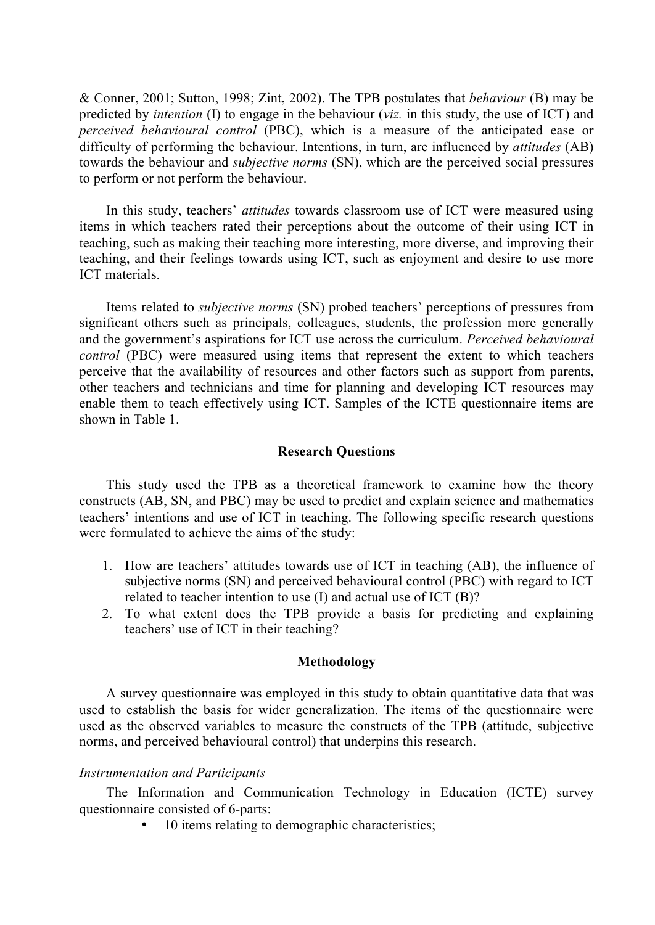& Conner, 2001; Sutton, 1998; Zint, 2002). The TPB postulates that *behaviour* (B) may be predicted by *intention* (I) to engage in the behaviour (*viz.* in this study, the use of ICT) and *perceived behavioural control* (PBC), which is a measure of the anticipated ease or difficulty of performing the behaviour. Intentions, in turn, are influenced by *attitudes* (AB) towards the behaviour and *subjective norms* (SN), which are the perceived social pressures to perform or not perform the behaviour.

In this study, teachers' *attitudes* towards classroom use of ICT were measured using items in which teachers rated their perceptions about the outcome of their using ICT in teaching, such as making their teaching more interesting, more diverse, and improving their teaching, and their feelings towards using ICT, such as enjoyment and desire to use more ICT materials.

Items related to *subjective norms* (SN) probed teachers' perceptions of pressures from significant others such as principals, colleagues, students, the profession more generally and the government's aspirations for ICT use across the curriculum. *Perceived behavioural control* (PBC) were measured using items that represent the extent to which teachers perceive that the availability of resources and other factors such as support from parents, other teachers and technicians and time for planning and developing ICT resources may enable them to teach effectively using ICT. Samples of the ICTE questionnaire items are shown in Table 1.

## **Research Questions**

This study used the TPB as a theoretical framework to examine how the theory constructs (AB, SN, and PBC) may be used to predict and explain science and mathematics teachers' intentions and use of ICT in teaching. The following specific research questions were formulated to achieve the aims of the study:

- 1. How are teachers' attitudes towards use of ICT in teaching (AB), the influence of subjective norms (SN) and perceived behavioural control (PBC) with regard to ICT related to teacher intention to use (I) and actual use of ICT (B)?
- 2. To what extent does the TPB provide a basis for predicting and explaining teachers' use of ICT in their teaching?

#### **Methodology**

A survey questionnaire was employed in this study to obtain quantitative data that was used to establish the basis for wider generalization. The items of the questionnaire were used as the observed variables to measure the constructs of the TPB (attitude, subjective norms, and perceived behavioural control) that underpins this research.

# *Instrumentation and Participants*

The Information and Communication Technology in Education (ICTE) survey questionnaire consisted of 6-parts:

• 10 items relating to demographic characteristics;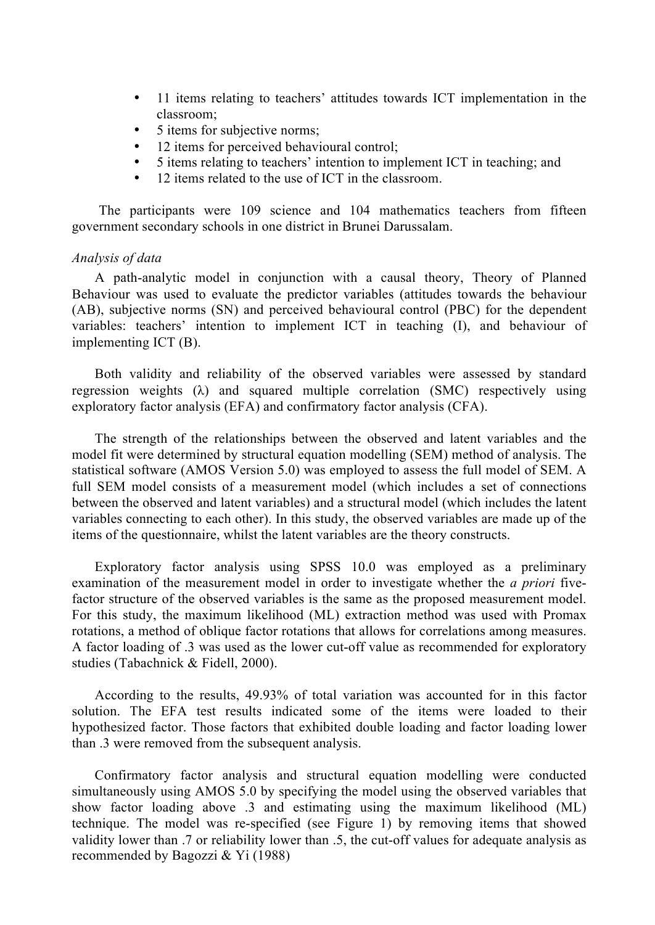- 11 items relating to teachers' attitudes towards ICT implementation in the classroom;
- 5 items for subjective norms;
- 12 items for perceived behavioural control;
- 5 items relating to teachers' intention to implement ICT in teaching; and<br>• 12 items related to the use of ICT in the classroom
- 12 items related to the use of ICT in the classroom.

The participants were 109 science and 104 mathematics teachers from fifteen government secondary schools in one district in Brunei Darussalam.

## *Analysis of data*

A path-analytic model in conjunction with a causal theory, Theory of Planned Behaviour was used to evaluate the predictor variables (attitudes towards the behaviour (AB), subjective norms (SN) and perceived behavioural control (PBC) for the dependent variables: teachers' intention to implement ICT in teaching (I), and behaviour of implementing ICT (B).

Both validity and reliability of the observed variables were assessed by standard regression weights  $(\lambda)$  and squared multiple correlation (SMC) respectively using exploratory factor analysis (EFA) and confirmatory factor analysis (CFA).

The strength of the relationships between the observed and latent variables and the model fit were determined by structural equation modelling (SEM) method of analysis. The statistical software (AMOS Version 5.0) was employed to assess the full model of SEM. A full SEM model consists of a measurement model (which includes a set of connections between the observed and latent variables) and a structural model (which includes the latent variables connecting to each other). In this study, the observed variables are made up of the items of the questionnaire, whilst the latent variables are the theory constructs.

Exploratory factor analysis using SPSS 10.0 was employed as a preliminary examination of the measurement model in order to investigate whether the *a priori* fivefactor structure of the observed variables is the same as the proposed measurement model. For this study, the maximum likelihood (ML) extraction method was used with Promax rotations, a method of oblique factor rotations that allows for correlations among measures. A factor loading of .3 was used as the lower cut-off value as recommended for exploratory studies (Tabachnick & Fidell, 2000).

According to the results, 49.93% of total variation was accounted for in this factor solution. The EFA test results indicated some of the items were loaded to their hypothesized factor. Those factors that exhibited double loading and factor loading lower than .3 were removed from the subsequent analysis.

Confirmatory factor analysis and structural equation modelling were conducted simultaneously using AMOS 5.0 by specifying the model using the observed variables that show factor loading above .3 and estimating using the maximum likelihood (ML) technique. The model was re-specified (see Figure 1) by removing items that showed validity lower than .7 or reliability lower than .5, the cut-off values for adequate analysis as recommended by Bagozzi & Yi (1988)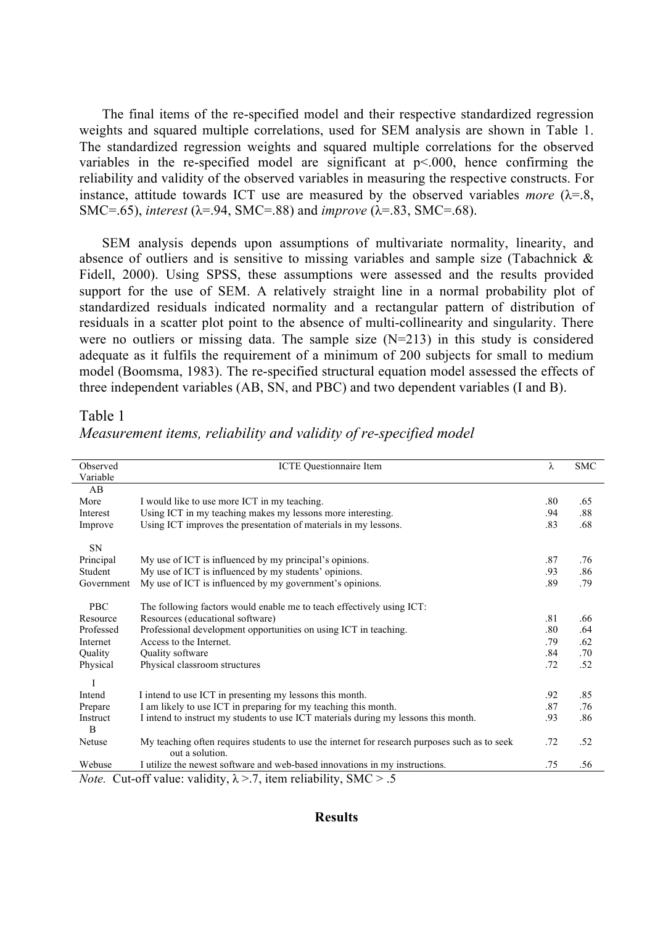The final items of the re-specified model and their respective standardized regression weights and squared multiple correlations, used for SEM analysis are shown in Table 1. The standardized regression weights and squared multiple correlations for the observed variables in the re-specified model are significant at  $p<0.00$ , hence confirming the reliability and validity of the observed variables in measuring the respective constructs. For instance, attitude towards ICT use are measured by the observed variables *more*  $(\lambda = 8)$ , SMC=.65), *interest* (λ=.94, SMC=.88) and *improve* (λ=.83, SMC=.68).

SEM analysis depends upon assumptions of multivariate normality, linearity, and absence of outliers and is sensitive to missing variables and sample size (Tabachnick & Fidell, 2000). Using SPSS, these assumptions were assessed and the results provided support for the use of SEM. A relatively straight line in a normal probability plot of standardized residuals indicated normality and a rectangular pattern of distribution of residuals in a scatter plot point to the absence of multi-collinearity and singularity. There were no outliers or missing data. The sample size (N=213) in this study is considered adequate as it fulfils the requirement of a minimum of 200 subjects for small to medium model (Boomsma, 1983). The re-specified structural equation model assessed the effects of three independent variables (AB, SN, and PBC) and two dependent variables (I and B).

## Table 1

| Observed                   | <b>ICTE</b> Questionnaire Item                                                                | λ   | <b>SMC</b> |
|----------------------------|-----------------------------------------------------------------------------------------------|-----|------------|
| Variable                   |                                                                                               |     |            |
| AB                         |                                                                                               |     |            |
| More                       | I would like to use more ICT in my teaching.                                                  | .80 | .65        |
| Interest                   | Using ICT in my teaching makes my lessons more interesting.                                   | .94 | .88        |
| Improve                    | Using ICT improves the presentation of materials in my lessons.                               | .83 | .68        |
|                            |                                                                                               |     |            |
| SN                         |                                                                                               |     |            |
| Principal                  | My use of ICT is influenced by my principal's opinions.                                       | .87 | .76        |
| Student                    | My use of ICT is influenced by my students' opinions.                                         | .93 | .86        |
| Government                 | My use of ICT is influenced by my government's opinions.                                      | .89 | .79        |
|                            |                                                                                               |     |            |
| <b>PBC</b>                 | The following factors would enable me to teach effectively using ICT:                         |     |            |
| Resource                   | Resources (educational software)                                                              | .81 | .66        |
| Professed                  | Professional development opportunities on using ICT in teaching.                              | .80 | .64        |
| Internet                   | Access to the Internet.                                                                       | .79 | .62        |
| Quality                    | Quality software                                                                              | .84 | .70        |
| Physical                   | Physical classroom structures                                                                 | .72 | .52        |
|                            |                                                                                               |     |            |
| Ī                          |                                                                                               |     |            |
| Intend                     | I intend to use ICT in presenting my lessons this month.                                      | .92 | .85        |
| Prepare                    | I am likely to use ICT in preparing for my teaching this month.                               | .87 | .76        |
| Instruct<br>$\overline{B}$ | I intend to instruct my students to use ICT materials during my lessons this month.           | .93 | .86        |
| Netuse                     | My teaching often requires students to use the internet for research purposes such as to seek | .72 | .52        |
|                            | out a solution.                                                                               |     |            |
| Webuse                     | I utilize the newest software and web-based innovations in my instructions.                   | .75 | .56        |
|                            | <i>Note.</i> Cut-off value: validity, $\lambda$ >.7, item reliability, SMC > .5               |     |            |

*Measurement items, reliability and validity of re-specified model*

## **Results**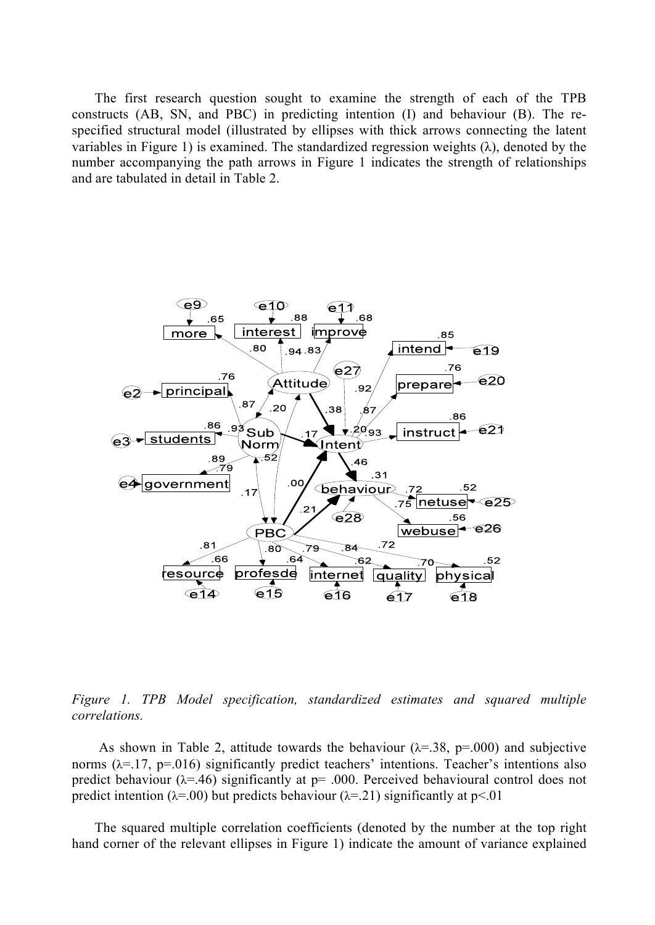The first research question sought to examine the strength of each of the TPB constructs (AB, SN, and PBC) in predicting intention (I) and behaviour (B). The respecified structural model (illustrated by ellipses with thick arrows connecting the latent variables in Figure 1) is examined. The standardized regression weights  $(\lambda)$ , denoted by the number accompanying the path arrows in Figure 1 indicates the strength of relationships and are tabulated in detail in Table 2.



*Figure 1. TPB Model specification, standardized estimates and squared multiple correlations.*

As shown in Table 2, attitude towards the behaviour  $(\lambda = 38, p = .000)$  and subjective norms ( $\lambda$ =.17, p=.016) significantly predict teachers' intentions. Teacher's intentions also predict behaviour ( $\lambda = 46$ ) significantly at p= .000. Perceived behavioural control does not predict intention ( $\lambda$ =.00) but predicts behaviour ( $\lambda$ =.21) significantly at p<.01

The squared multiple correlation coefficients (denoted by the number at the top right hand corner of the relevant ellipses in Figure 1) indicate the amount of variance explained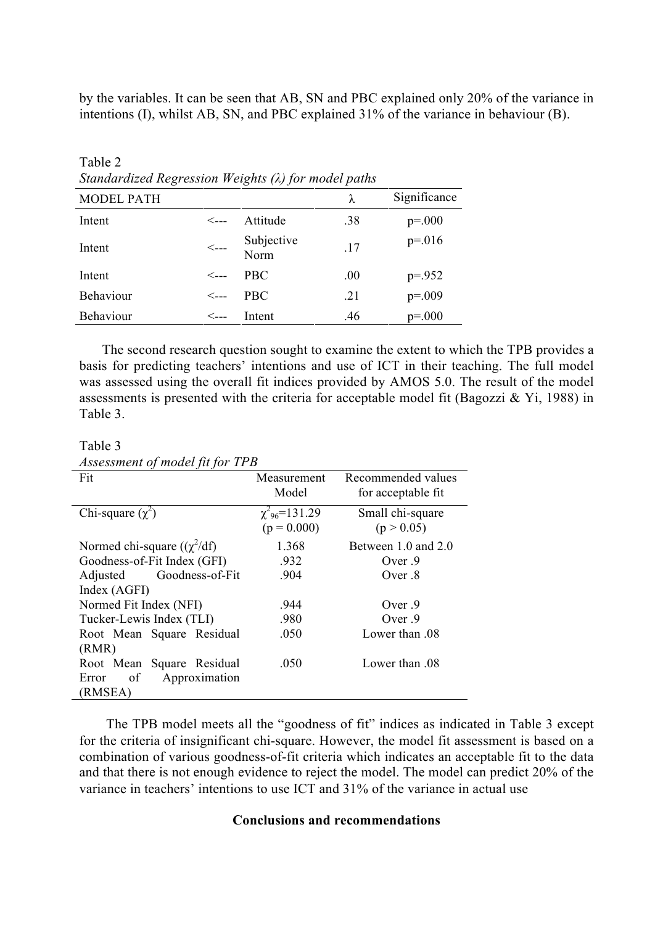by the variables. It can be seen that AB, SN and PBC explained only 20% of the variance in intentions (I), whilst AB, SN, and PBC explained 31% of the variance in behaviour (B).

| Sundaraized Regression Weights (X) for model pains |                                         |                    |      |              |  |  |  |
|----------------------------------------------------|-----------------------------------------|--------------------|------|--------------|--|--|--|
| <b>MODEL PATH</b>                                  |                                         |                    | λ    | Significance |  |  |  |
| Intent                                             | $\leftarrow$                            | Attitude           | .38  | $p = 000$    |  |  |  |
| Intent                                             | $\hspace{0.1em} <\hspace{0.1em} \ldots$ | Subjective<br>Norm | .17  | $p = 016$    |  |  |  |
| Intent                                             | $\leftarrow$                            | <b>PBC</b>         | .00. | $p = 0.952$  |  |  |  |
| Behaviour                                          | $\leftarrow$                            | <b>PBC</b>         | .21  | $p=.009$     |  |  |  |
| Behaviour                                          | <---                                    | Intent             | .46  | $p = 000$    |  |  |  |

Table 2 *Standardized Regression Weights (λ) for model paths*

The second research question sought to examine the extent to which the TPB provides a basis for predicting teachers' intentions and use of ICT in their teaching. The full model was assessed using the overall fit indices provided by AMOS 5.0. The result of the model assessments is presented with the criteria for acceptable model fit (Bagozzi & Yi, 1988) in Table 3.

Table 3

| Assessment of model fit for TPB |
|---------------------------------|
|---------------------------------|

| $11.00$ coolitional of the case for for |                                                 |                                          |  |  |  |  |
|-----------------------------------------|-------------------------------------------------|------------------------------------------|--|--|--|--|
| Fit                                     | Measurement<br>Model                            | Recommended values<br>for acceptable fit |  |  |  |  |
| Chi-square $(\chi^2)$                   | $\chi^2$ <sub>96</sub> =131.29<br>$(p = 0.000)$ | Small chi-square<br>(p > 0.05)           |  |  |  |  |
| Normed chi-square $((\chi^2/df))$       | 1.368                                           | Between 1.0 and 2.0                      |  |  |  |  |
| Goodness-of-Fit Index (GFI)             | .932                                            | Over $.9$                                |  |  |  |  |
| Goodness-of-Fit<br>Adjusted             | .904                                            | Over $.8$                                |  |  |  |  |
| Index (AGFI)                            |                                                 |                                          |  |  |  |  |
| Normed Fit Index (NFI)                  | .944                                            | Over $9$                                 |  |  |  |  |
| Tucker-Lewis Index (TLI)                | .980                                            | Over $.9$                                |  |  |  |  |
| Root Mean Square Residual               | .050                                            | Lower than 08                            |  |  |  |  |
| (RMR)                                   |                                                 |                                          |  |  |  |  |
| Root Mean Square Residual               | .050                                            | Lower than 08                            |  |  |  |  |
| of<br>Approximation<br>Error            |                                                 |                                          |  |  |  |  |
| (RMSEA)                                 |                                                 |                                          |  |  |  |  |
|                                         |                                                 |                                          |  |  |  |  |

The TPB model meets all the "goodness of fit" indices as indicated in Table 3 except for the criteria of insignificant chi-square. However, the model fit assessment is based on a combination of various goodness-of-fit criteria which indicates an acceptable fit to the data and that there is not enough evidence to reject the model. The model can predict 20% of the variance in teachers' intentions to use ICT and 31% of the variance in actual use

# **Conclusions and recommendations**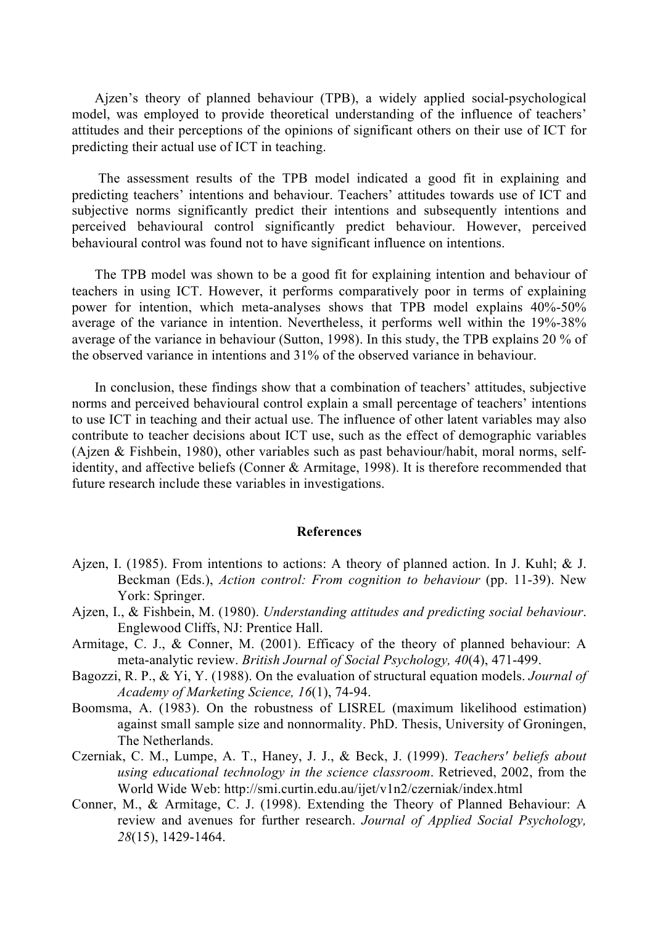Ajzen's theory of planned behaviour (TPB), a widely applied social-psychological model, was employed to provide theoretical understanding of the influence of teachers' attitudes and their perceptions of the opinions of significant others on their use of ICT for predicting their actual use of ICT in teaching.

The assessment results of the TPB model indicated a good fit in explaining and predicting teachers' intentions and behaviour. Teachers' attitudes towards use of ICT and subjective norms significantly predict their intentions and subsequently intentions and perceived behavioural control significantly predict behaviour. However, perceived behavioural control was found not to have significant influence on intentions.

The TPB model was shown to be a good fit for explaining intention and behaviour of teachers in using ICT. However, it performs comparatively poor in terms of explaining power for intention, which meta-analyses shows that TPB model explains 40%-50% average of the variance in intention. Nevertheless, it performs well within the 19%-38% average of the variance in behaviour (Sutton, 1998). In this study, the TPB explains 20 % of the observed variance in intentions and 31% of the observed variance in behaviour.

In conclusion, these findings show that a combination of teachers' attitudes, subjective norms and perceived behavioural control explain a small percentage of teachers' intentions to use ICT in teaching and their actual use. The influence of other latent variables may also contribute to teacher decisions about ICT use, such as the effect of demographic variables (Ajzen & Fishbein, 1980), other variables such as past behaviour/habit, moral norms, selfidentity, and affective beliefs (Conner & Armitage, 1998). It is therefore recommended that future research include these variables in investigations.

## **References**

- Ajzen, I. (1985). From intentions to actions: A theory of planned action. In J. Kuhl; & J. Beckman (Eds.), *Action control: From cognition to behaviour* (pp. 11-39). New York: Springer.
- Ajzen, I., & Fishbein, M. (1980). *Understanding attitudes and predicting social behaviour*. Englewood Cliffs, NJ: Prentice Hall.
- Armitage, C. J., & Conner, M. (2001). Efficacy of the theory of planned behaviour: A meta-analytic review. *British Journal of Social Psychology, 40*(4), 471-499.
- Bagozzi, R. P., & Yi, Y. (1988). On the evaluation of structural equation models. *Journal of Academy of Marketing Science, 16*(1), 74-94.
- Boomsma, A. (1983). On the robustness of LISREL (maximum likelihood estimation) against small sample size and nonnormality. PhD. Thesis, University of Groningen, The Netherlands.
- Czerniak, C. M., Lumpe, A. T., Haney, J. J., & Beck, J. (1999). *Teachers' beliefs about using educational technology in the science classroom*. Retrieved, 2002, from the World Wide Web: http://smi.curtin.edu.au/ijet/v1n2/czerniak/index.html
- Conner, M., & Armitage, C. J. (1998). Extending the Theory of Planned Behaviour: A review and avenues for further research. *Journal of Applied Social Psychology, 28*(15), 1429-1464.